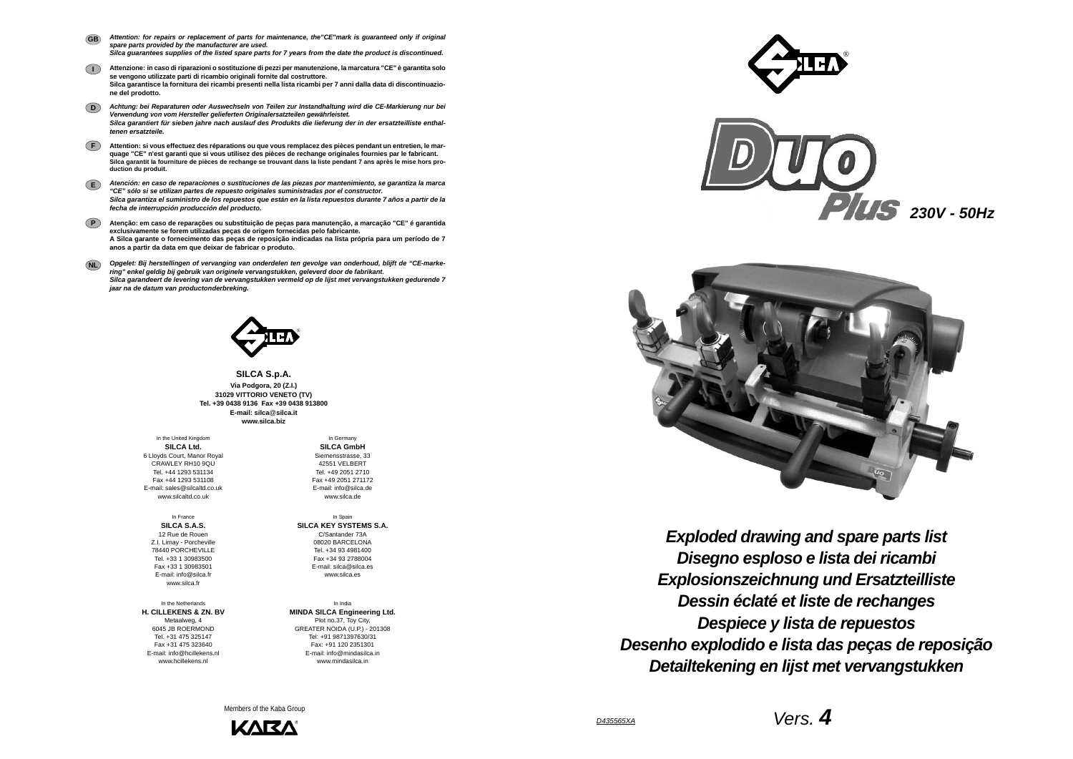*D435565XA*

*Vers. 4*





**SILCA S.p.A. Via Podgora, 20 (Z.I.) 31029 VITTORIO VENETO (TV) Tel. +39 0438 9136 Fax +39 0438 913800E-mail: silca**@**silca.it www.silca.biz**

- *Attention: for repairs or replacement of parts for maintenance, the"CE"mark is guaranteed only if original spare parts provided by the manufacturer are used. Silca guarantees supplies of the listed spare parts for 7 years from the date the product is discontinued.* **GB**
- **I Attenzione: in caso di riparazioni o sostituzione di pezzi per manutenzione, la marcatura "CE" è garantita solo se vengono utilizzate parti di ricambio originali fornite dal costruttore. Silca garantisce la fornitura dei ricambi presenti nella lista ricambi per 7 anni dalla data di discontinuazione del prodotto.**
- **D***Achtung: bei Reparaturen oder Auswechseln von Teilen zur Instandhaltung wird die CE-Markierung nur bei Verwendung von vom Hersteller gelieferten Originalersatzteilen gewährleistet. Silca garantiert für sieben jahre nach auslauf des Produkts die lieferung der in der ersatzteilliste enthaltenen ersatzteile.*
- **F Attention: si vous effectuez des réparations ou que vous remplacez des pièces pendant un entretien, le marquage "CE" n'est garanti que si vous utilisez des pièces de rechange originales fournies par le fabricant. Silca garantit la fourniture de pièces de rechange se trouvant dans la liste pendant 7 ans après le mise hors production du produit.**
- **E***Atención: en caso de reparaciones o sustituciones de las piezas por mantenimiento, se garantiza la marca "CE" sólo si se utilizan partes de repuesto originales suministradas por el constructor. Silca garantiza el suministro de los repuestos que están en la lista repuestos durante 7 años a partir de la fecha de interrupción producción del producto.*
- **PAtenção: em caso de reparações ou substituição de peças para manutenção, a marcação "CE" é garantida exclusivamente se forem utilizadas peças de origem fornecidas pelo fabricante. A Silca garante o fornecimento das peças de reposição indicadas na lista própria para um período de 7 anos a partir da data em que deixar de fabricar o produto.**
- **NL** *Opgelet: Bij herstellingen of vervanging van onderdelen ten gevolge van onderhoud, blijft de "CE-markering" enkel geldig bij gebruik van originele vervangstukken, geleverd door de fabrikant. Silca garandeert de levering van de vervangstukken vermeld op de lijst met vervangstukken gedurende 7 jaar na de datum van productonderbreking.*



In the United Kingdom **SILCA Ltd.** 6 Lloyds Court, Manor Royal CRAWLEY RH10 9QUTel. +44 1293 531134 Fax +44 1293 531108 E-mail: sales@silcaltd.co.uk www.silcaltd.co.uk

In France**SILCA S.A.S.** 12 Rue de Rouen Z.I. Limay - Porcheville 78440 PORCHEVILLE Tel. +33 1 30983500 Fax +33 1 30983501 E-mail: info@silca.fr www.silca.fr

In the Netherlands**H. CILLEKENS & ZN. BV** Metaalweg, 4 6045 JB ROERMOND Tel. +31 475 325147 Fax +31 475 323640E-mail: info@hcillekens.nl

www.hcillekens.nl

In Germany **SILCA GmbH** Siemensstrasse, 33 42551 VELBERTTel. +49 2051 2710 Fax +49 2051 271172 E-mail: info@silca.de www.silca.de

In Spain **SILCA KEY SYSTEMS S.A.** C/Santander 73A 08020 BARCELONA Tel. +34 93 4981400 Fax +34 93 2788004 E-mail: silca@silca.es www.silca.es

In India**MINDA SILCA Engineering Ltd.** Plot no.37, Toy City, GREATER NOIDA (U.P.) - 201308 Tel: +91 9871397630/31 Fax: +91 120 2351301 E-mail: info@mindasilca.inwww.mindasilca.in

Members of the Kaba Group





*Disegno esploso e lista dei ricambi Exploded drawing and spare parts list Explosionszeichnung und Ersatzteilliste Dessin éclaté et liste de rechanges Despiece y lista de repuestos Desenho explodido e lista das peças de reposição Detailtekening en lijst met vervangstukken*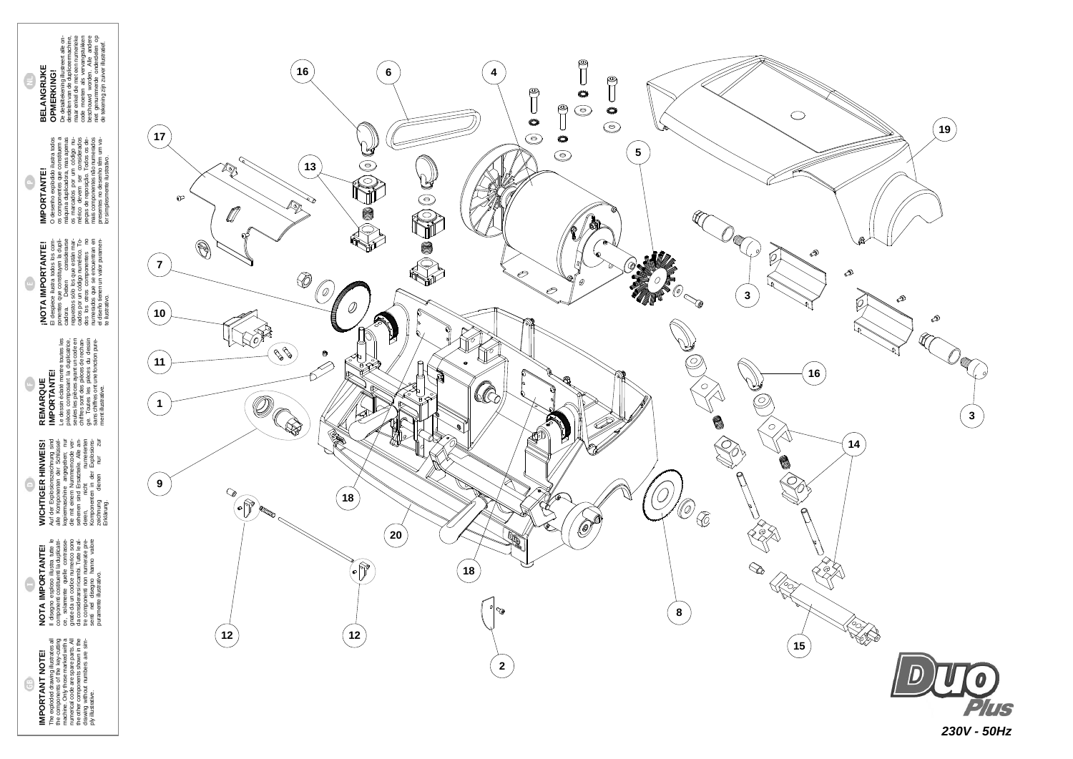